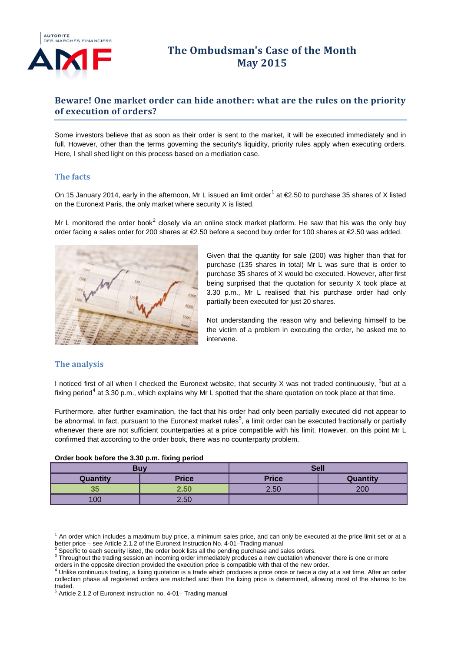

# **The Ombudsman's Case of the Month May 2015**

## **Beware! One market order can hide another: what are the rules on the priority of execution of orders?**

Some investors believe that as soon as their order is sent to the market, it will be executed immediately and in full. However, other than the terms governing the security's liquidity, priority rules apply when executing orders. Here, I shall shed light on this process based on a mediation case.

#### **The facts**

On [1](#page-0-0)5 January 2014, early in the afternoon, Mr L issued an limit order<sup>1</sup> at  $E$ 2.50 to purchase 35 shares of X listed on the Euronext Paris, the only market where security X is listed.

Mr L monitored the order book<sup>[2](#page-0-1)</sup> closely via an online stock market platform. He saw that his was the only buy order facing a sales order for 200 shares at €2.50 before a second buy order for 100 shares at €2.50 was added.



Given that the quantity for sale (200) was higher than that for purchase (135 shares in total) Mr L was sure that is order to purchase 35 shares of X would be executed. However, after first being surprised that the quotation for security X took place at 3.30 p.m., Mr L realised that his purchase order had only partially been executed for just 20 shares.

Not understanding the reason why and believing himself to be the victim of a problem in executing the order, he asked me to intervene.

## **The analysis**

I noticed first of all when I checked the Euronext website, that security X was not traded continuously,  $3$ but at a fixing period<sup>[4](#page-0-3)</sup> at 3.30 p.m., which explains why Mr L spotted that the share quotation on took place at that time.

Furthermore, after further examination, the fact that his order had only been partially executed did not appear to be abnormal. In fact, pursuant to the Euronext market rules<sup>[5](#page-0-4)</sup>, a limit order can be executed fractionally or partially whenever there are not sufficient counterparties at a price compatible with his limit. However, on this point Mr L confirmed that according to the order book, there was no counterparty problem.

| . .      |              |              |          |  |
|----------|--------------|--------------|----------|--|
| Buv      |              | <b>Sell</b>  |          |  |
| Quantity | <b>Price</b> | <b>Price</b> | Quantity |  |
| 35       | 2.50         | 2.50         | 200      |  |
| 100      | 2.50         |              |          |  |

#### **Order book before the 3.30 p.m. fixing period**

<span id="page-0-0"></span>An order which includes a maximum buy price, a minimum sales price, and can only be executed at the price limit set or at a better price – see Article 2.1.2 of the Euronext Instruction No. 4-01–Trading manual <sup>2</sup> Specific to each security listed, the order book lists all the pending purchase and sales orders.

<span id="page-0-1"></span>

<span id="page-0-2"></span><sup>&</sup>lt;sup>3</sup> Throughout the trading session an incoming order immediately produces a new quotation whenever there is one or more orders in the opposite direction provided the execution price is compatible with that of the new order.

<span id="page-0-3"></span><sup>4</sup> Unlike continuous trading, a fixing quotation is a trade which produces a price once or twice a day at a set time. After an order collection phase all registered orders are matched and then the fixing price is determined, allowing most of the shares to be traded.

<span id="page-0-4"></span> $5$  Article 2.1.2 of Euronext instruction no. 4-01– Trading manual